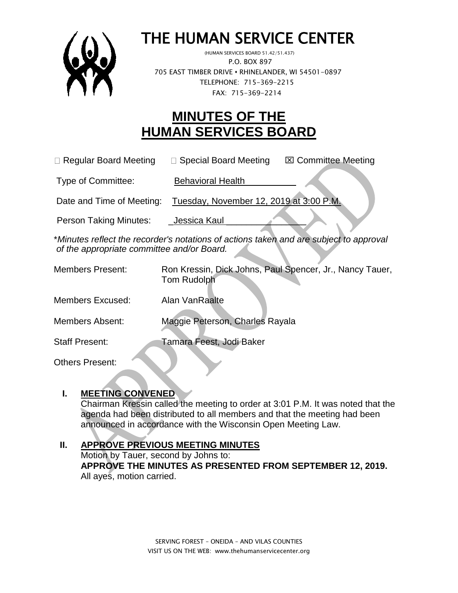

# THE HUMAN SERVICE CENTER

 (HUMAN SERVICES BOARD 51.42/51.437) P.O. BOX 897 705 EAST TIMBER DRIVE **•** RHINELANDER, WI 54501-0897 TELEPHONE: 715-369-2215 FAX: 715-369-2214

## **MINUTES OF THE HUMAN SERVICES BOARD**

| □ Regular Board Meeting | □ Special Board Meeting | <b>⊠ Committee Meeting</b> |
|-------------------------|-------------------------|----------------------------|
|                         |                         |                            |

Type of Committee: Behavioral Health

Date and Time of Meeting: Tuesday, November 12, 2019 at 3:00 P.M.

Person Taking Minutes: Jessica Kaul

\**Minutes reflect the recorder's notations of actions taken and are subject to approval of the appropriate committee and/or Board.*

Members Present: Ron Kressin, Dick Johns, Paul Spencer, Jr., Nancy Tauer, Tom Rudolph Members Excused: Alan VanRaalte Members Absent: Maggie Peterson, Charles Rayala Staff Present: Tamara Feest, Jodi Baker

Others Present:

#### **I. MEETING CONVENED**

Chairman Kressin called the meeting to order at 3:01 P.M. It was noted that the agenda had been distributed to all members and that the meeting had been announced in accordance with the Wisconsin Open Meeting Law.

## **II. APPROVE PREVIOUS MEETING MINUTES**

Motion by Tauer, second by Johns to: **APPROVE THE MINUTES AS PRESENTED FROM SEPTEMBER 12, 2019.** All ayes, motion carried.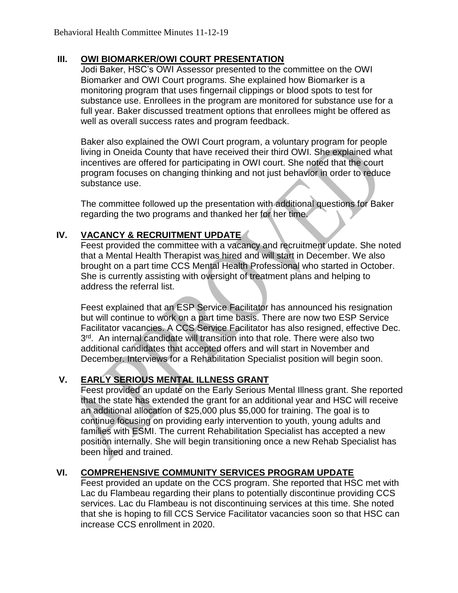#### **III. OWI BIOMARKER/OWI COURT PRESENTATION**

Jodi Baker, HSC's OWI Assessor presented to the committee on the OWI Biomarker and OWI Court programs. She explained how Biomarker is a monitoring program that uses fingernail clippings or blood spots to test for substance use. Enrollees in the program are monitored for substance use for a full year. Baker discussed treatment options that enrollees might be offered as well as overall success rates and program feedback.

Baker also explained the OWI Court program, a voluntary program for people living in Oneida County that have received their third OWI. She explained what incentives are offered for participating in OWI court. She noted that the court program focuses on changing thinking and not just behavior in order to reduce substance use.

The committee followed up the presentation with additional questions for Baker regarding the two programs and thanked her for her time.

#### **IV. VACANCY & RECRUITMENT UPDATE**

Feest provided the committee with a vacancy and recruitment update. She noted that a Mental Health Therapist was hired and will start in December. We also brought on a part time CCS Mental Health Professional who started in October. She is currently assisting with oversight of treatment plans and helping to address the referral list.

Feest explained that an ESP Service Facilitator has announced his resignation but will continue to work on a part time basis. There are now two ESP Service Facilitator vacancies. A CCS Service Facilitator has also resigned, effective Dec. 3<sup>rd</sup>. An internal candidate will transition into that role. There were also two additional candidates that accepted offers and will start in November and December. Interviews for a Rehabilitation Specialist position will begin soon.

#### **V. EARLY SERIOUS MENTAL ILLNESS GRANT**

Feest provided an update on the Early Serious Mental Illness grant. She reported that the state has extended the grant for an additional year and HSC will receive an additional allocation of \$25,000 plus \$5,000 for training. The goal is to continue focusing on providing early intervention to youth, young adults and families with ESMI. The current Rehabilitation Specialist has accepted a new position internally. She will begin transitioning once a new Rehab Specialist has been hired and trained.

#### **VI. COMPREHENSIVE COMMUNITY SERVICES PROGRAM UPDATE**

Feest provided an update on the CCS program. She reported that HSC met with Lac du Flambeau regarding their plans to potentially discontinue providing CCS services. Lac du Flambeau is not discontinuing services at this time. She noted that she is hoping to fill CCS Service Facilitator vacancies soon so that HSC can increase CCS enrollment in 2020.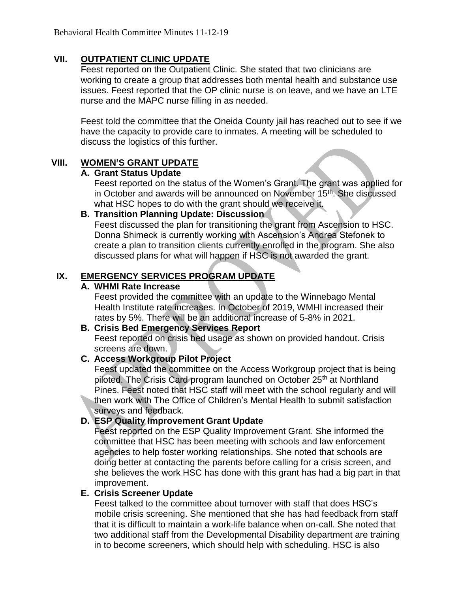#### **VII. OUTPATIENT CLINIC UPDATE**

Feest reported on the Outpatient Clinic. She stated that two clinicians are working to create a group that addresses both mental health and substance use issues. Feest reported that the OP clinic nurse is on leave, and we have an LTE nurse and the MAPC nurse filling in as needed.

Feest told the committee that the Oneida County jail has reached out to see if we have the capacity to provide care to inmates. A meeting will be scheduled to discuss the logistics of this further.

#### **VIII. WOMEN'S GRANT UPDATE**

#### **A. Grant Status Update**

Feest reported on the status of the Women's Grant. The grant was applied for in October and awards will be announced on November 15<sup>th</sup>. She discussed what HSC hopes to do with the grant should we receive it.

#### **B. Transition Planning Update: Discussion**

Feest discussed the plan for transitioning the grant from Ascension to HSC. Donna Shimeck is currently working with Ascension's Andrea Stefonek to create a plan to transition clients currently enrolled in the program. She also discussed plans for what will happen if HSC is not awarded the grant.

#### **IX. EMERGENCY SERVICES PROGRAM UPDATE**

#### **A. WHMI Rate Increase**

Feest provided the committee with an update to the Winnebago Mental Health Institute rate increases. In October of 2019, WMHI increased their rates by 5%. There will be an additional increase of 5-8% in 2021.

#### **B. Crisis Bed Emergency Services Report**

Feest reported on crisis bed usage as shown on provided handout. Crisis screens are down.

#### **C. Access Workgroup Pilot Project**

Feest updated the committee on the Access Workgroup project that is being piloted. The Crisis Card program launched on October 25<sup>th</sup> at Northland Pines. Feest noted that HSC staff will meet with the school regularly and will then work with The Office of Children's Mental Health to submit satisfaction surveys and feedback.

## **D. ESP Quality Improvement Grant Update**

Feest reported on the ESP Quality Improvement Grant. She informed the committee that HSC has been meeting with schools and law enforcement agencies to help foster working relationships. She noted that schools are doing better at contacting the parents before calling for a crisis screen, and she believes the work HSC has done with this grant has had a big part in that improvement.

#### **E. Crisis Screener Update**

Feest talked to the committee about turnover with staff that does HSC's mobile crisis screening. She mentioned that she has had feedback from staff that it is difficult to maintain a work-life balance when on-call. She noted that two additional staff from the Developmental Disability department are training in to become screeners, which should help with scheduling. HSC is also